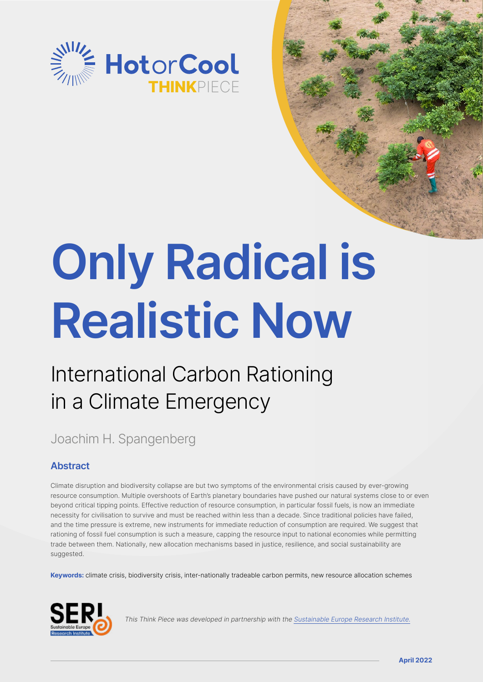

# **Only Radical is Realistic Now**

# International Carbon Rationing in a Climate Emergency

## Joachim H. Spangenberg

### **Abstract**

Climate disruption and biodiversity collapse are but two symptoms of the environmental crisis caused by ever-growing resource consumption. Multiple overshoots of Earth's planetary boundaries have pushed our natural systems close to or even beyond critical tipping points. Effective reduction of resource consumption, in particular fossil fuels, is now an immediate necessity for civilisation to survive and must be reached within less than a decade. Since traditional policies have failed, and the time pressure is extreme, new instruments for immediate reduction of consumption are required. We suggest that rationing of fossil fuel consumption is such a measure, capping the resource input to national economies while permitting trade between them. Nationally, new allocation mechanisms based in justice, resilience, and social sustainability are suggested.

**Keywords:** climate crisis, biodiversity crisis, inter-nationally tradeable carbon permits, new resource allocation schemes



This Think Piece was developed in partnership with the [Sustainable Europe Research Institute.](https://www.seri.de/home/)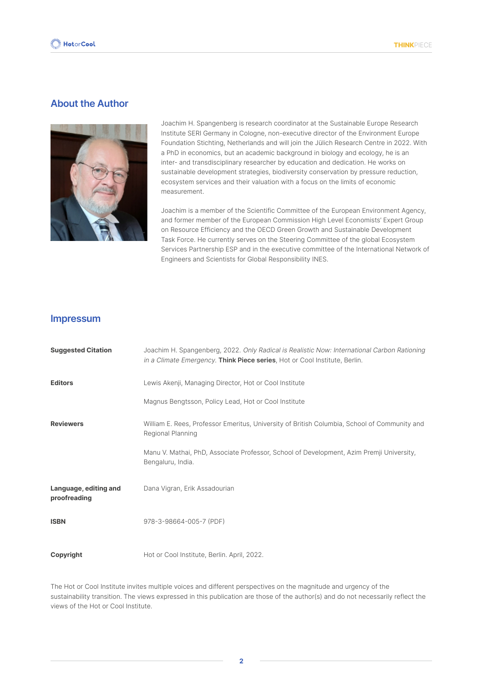#### **About the Author**



Joachim H. Spangenberg is research coordinator at the Sustainable Europe Research Institute SERI Germany in Cologne, non-executive director of the Environment Europe Foundation Stichting, Netherlands and will join the Jülich Research Centre in 2022. With a PhD in economics, but an academic background in biology and ecology, he is an inter- and transdisciplinary researcher by education and dedication. He works on sustainable development strategies, biodiversity conservation by pressure reduction, ecosystem services and their valuation with a focus on the limits of economic measurement.

Joachim is a member of the Scientific Committee of the European Environment Agency, and former member of the European Commission High Level Economists' Expert Group on Resource Efficiency and the OECD Green Growth and Sustainable Development Task Force. He currently serves on the Steering Committee of the global Ecosystem Services Partnership ESP and in the executive committee of the International Network of Engineers and Scientists for Global Responsibility INES.

#### **Impressum**

| <b>Suggested Citation</b>             | Joachim H. Spangenberg, 2022. Only Radical is Realistic Now: International Carbon Rationing<br>in a Climate Emergency. Think Piece series, Hot or Cool Institute, Berlin. |
|---------------------------------------|---------------------------------------------------------------------------------------------------------------------------------------------------------------------------|
| <b>Editors</b>                        | Lewis Akenji, Managing Director, Hot or Cool Institute                                                                                                                    |
|                                       | Magnus Bengtsson, Policy Lead, Hot or Cool Institute                                                                                                                      |
| <b>Reviewers</b>                      | William E. Rees, Professor Emeritus, University of British Columbia, School of Community and<br>Regional Planning                                                         |
|                                       | Manu V. Mathai, PhD, Associate Professor, School of Development, Azim Premji University,<br>Bengaluru, India.                                                             |
| Language, editing and<br>proofreading | Dana Vigran, Erik Assadourian                                                                                                                                             |
| <b>ISBN</b>                           | 978-3-98664-005-7 (PDF)                                                                                                                                                   |
| Copyright                             | Hot or Cool Institute, Berlin. April, 2022.                                                                                                                               |

The Hot or Cool Institute invites multiple voices and different perspectives on the magnitude and urgency of the sustainability transition. The views expressed in this publication are those of the author(s) and do not necessarily reflect the views of the Hot or Cool Institute.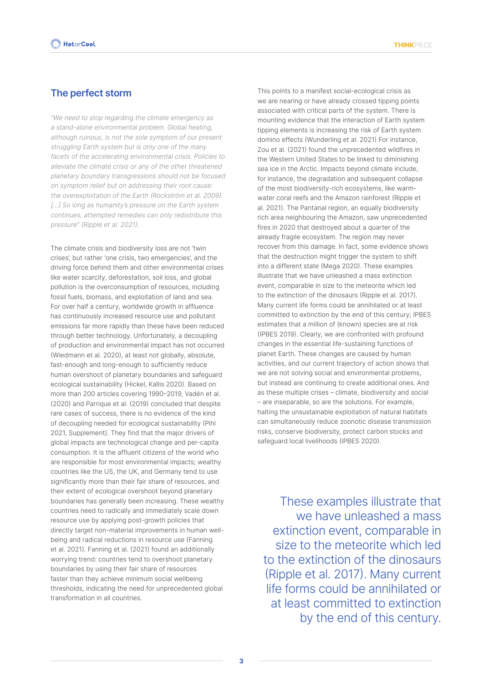#### **The perfect storm**

"We need to stop regarding the climate emergency as a stand-alone environmental problem. Global heating, although ruinous, is not the sole symptom of our present struggling Earth system but is only one of the many facets of the accelerating environmental crisis. Policies to alleviate the climate crisis or any of the other threatened planetary boundary transgressions should not be focused on symptom relief but on addressing their root cause: the overexploitation of the Earth (Rockström et al. 2009). [...] So long as humanity's pressure on the Earth system continues, attempted remedies can only redistribute this pressure" (Ripple et al. 2021).

The climate crisis and biodiversity loss are not 'twin crises', but rather 'one crisis, two emergencies', and the driving force behind them and other environmental crises like water scarcity, deforestation, soil loss, and global pollution is the overconsumption of resources, including fossil fuels, biomass, and exploitation of land and sea. For over half a century, worldwide growth in affluence has continuously increased resource use and pollutant emissions far more rapidly than these have been reduced through better technology. Unfortunately, a decoupling of production and environmental impact has not occurred (Wiedmann et al. 2020), at least not globally, absolute, fast-enough and long-enough to sufficiently reduce human overshoot of planetary boundaries and safeguard ecological sustainability (Hickel, Kallis 2020). Based on more than 200 articles covering 1990–2019, Vadén et al. (2020) and Parrique et al. (2019) concluded that despite rare cases of success, there is no evidence of the kind of decoupling needed for ecological sustainability (Pihl 2021, Supplement). They find that the major drivers of global impacts are technological change and per-capita consumption. It is the affluent citizens of the world who are responsible for most environmental impacts; wealthy countries like the US, the UK, and Germany tend to use significantly more than their fair share of resources, and their extent of ecological overshoot beyond planetary boundaries has generally been increasing. These wealthy countries need to radically and immediately scale down resource use by applying [post-growth policies](https://sustainable-prosperity.eu/) that directly target non-material improvements in human wellbeing and radical reductions in resource use (Fanning et al. 2021). Fanning et al. (2021) found an additionally worrying trend: countries tend to overshoot planetary boundaries by using their fair share of resources faster than they achieve minimum social wellbeing thresholds, indicating the need for unprecedented global transformation in all countries.

This points to a manifest social-ecological crisis as we are nearing or have already crossed tipping points associated with critical parts of the system. There is mounting evidence that the interaction of Earth system tipping elements is increasing the risk of Earth system domino effects (Wunderling et al. 2021) For instance, Zou et al. (2021) found the unprecedented wildfires in the Western United States to be linked to diminishing sea ice in the Arctic. Impacts beyond climate include, for instance, the degradation and subsequent collapse of the most biodiversity-rich ecosystems, like warmwater coral reefs and the Amazon rainforest (Ripple et al. 2021). The Pantanal region, an equally biodiversity rich area neighbouring the Amazon, saw unprecedented fires in 2020 that destroyed about a quarter of the already fragile ecosystem. The region may never recover from this damage. In fact, some evidence shows that the destruction might trigger the system to shift into a different state (Mega 2020). These examples illustrate that we have unleashed a mass extinction event, comparable in size to the meteorite which led to the extinction of the dinosaurs (Ripple et al. 2017). Many current life forms could be annihilated or at least committed to extinction by the end of this century; IPBES estimates that a million of (known) species are at risk (IPBES 2019). Clearly, we are confronted with profound changes in the essential life-sustaining functions of planet Earth. These changes are caused by human activities, and our current trajectory of action shows that we are not solving social and environmental problems, but instead are continuing to create additional ones. And as these multiple crises – climate, biodiversity and social – are inseparable, so are the solutions. For example, halting the unsustainable exploitation of natural habitats can simultaneously reduce zoonotic disease transmission risks, conserve biodiversity, protect carbon stocks and safeguard local livelihoods (IPBES 2020).

These examples illustrate that we have unleashed a mass extinction event, comparable in size to the meteorite which led to the extinction of the dinosaurs (Ripple et al. 2017). Many current life forms could be annihilated or at least committed to extinction by the end of this century.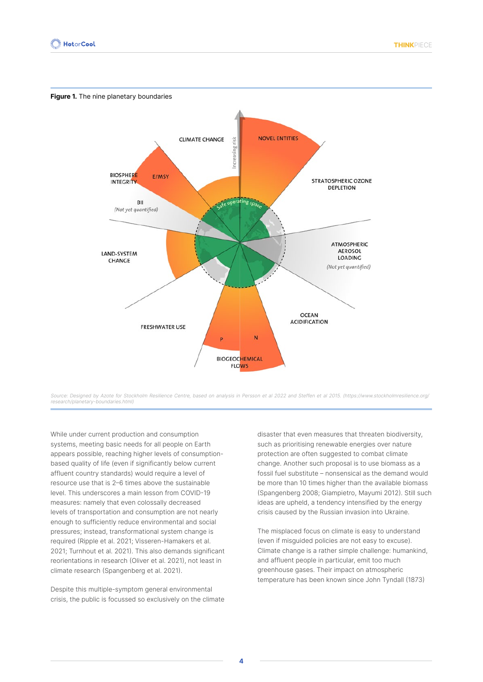

Source: Designed by Azote for Stockholm Resilience Centre, based on analysis in Persson et al 2022 and Steffen et al 2015. (https://www.stockholmresilience.org/ research/planetary-boundaries.html)

While under current production and consumption systems, meeting basic needs for all people on Earth appears possible, reaching higher levels of consumptionbased quality of life (even if significantly below current affluent country standards) would require a level of resource use that is 2–6 times above the sustainable level. This underscores a main lesson from COVID-19 measures: namely that even colossally decreased levels of transportation and consumption are not nearly enough to sufficiently reduce environmental and social pressures; instead, transformational system change is required (Ripple et al. 2021; Visseren-Hamakers et al. 2021; Turnhout et al. 2021). This also demands significant reorientations in research (Oliver et al. 2021), not least in climate research (Spangenberg et al. 2021).

Despite this multiple-symptom general environmental crisis, the public is focussed so exclusively on the climate disaster that even measures that threaten biodiversity, such as prioritising renewable energies over nature protection are often suggested to combat climate change. Another such proposal is to use biomass as a fossil fuel substitute – nonsensical as the demand would be more than 10 times higher than the available biomass (Spangenberg 2008; Giampietro, Mayumi 2012). Still such ideas are upheld, a tendency intensified by the energy crisis caused by the Russian invasion into Ukraine.

The misplaced focus on climate is easy to understand (even if misguided policies are not easy to excuse). Climate change is a rather simple challenge: humankind, and affluent people in particular, emit too much greenhouse gases. Their impact on atmospheric temperature has been known since John Tyndall (1873)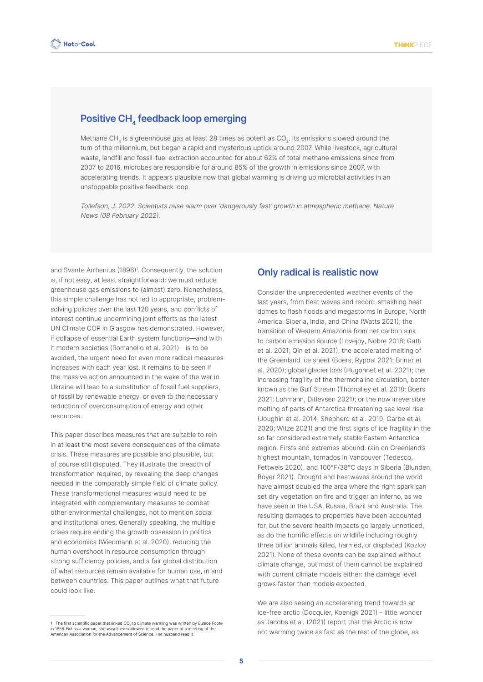#### **Positive CH<sub>4</sub> feedback loop emerging**

Methane CH, is a greenhouse gas at least 28 times as potent as CO<sub>2</sub>. Its emissions slowed around the turn of the millennium, but began a rapid and mysterious uptick around 2007. While livestock, agricultural waste, landfill and fossil-fuel extraction accounted for about 62% of total methane emissions since from 2007 to 2016, microbes are responsible for around 85% of the growth in emissions since 2007, with accelerating trends. It appears plausible now that global warming is driving up microbial activities in an unstoppable positive feedback loop.

Tollefson, J. 2022. Scientists raise alarm over 'dangerously fast' growth in atmospheric methane. Nature News (08 February 2022).

and Svante Arrhenius (1896)<sup>1</sup>. Consequently, the solution is, if not easy, at least straightforward: we must reduce greenhouse gas emissions to (almost) zero. Nonetheless, this simple challenge has not led to appropriate, problemsolving policies over the last 120 years, and conflicts of interest continue undermining joint efforts as the latest UN Climate COP in Glasgow has demonstrated. However, if collapse of essential Earth system functions—and with it modern societies (Romanello et al. 2021)—is to be avoided, the urgent need for even more radical measures increases with each year lost. It remains to be seen if the massive action announced in the wake of the war in Ukraine will lead to a substitution of fossil fuel suppliers, of fossil by renewable energy, or even to the necessary reduction of overconsumption of energy and other resources.

This paper describes measures that are suitable to rein in at least the most severe consequences of the climate crisis. These measures are possible and plausible, but of course still disputed. They illustrate the breadth of transformation required, by revealing the deep changes needed in the comparably simple field of climate policy. These transformational measures would need to be integrated with complementary measures to combat other environmental challenges, not to mention social and institutional ones. Generally speaking, the multiple crises require ending the growth obsession in politics and economics (Wiedmann et al. 2020), reducing the human overshoot in resource consumption through strong sufficiency policies, and a fair global distribution of what resources remain available for human use, in and between countries. This paper outlines what that future could look like.

#### **Only radical is realistic now**

Consider the unprecedented weather events of the last years, from heat waves and record-smashing heat domes to flash floods and megastorms in Europe, North America, Siberia, India, and China (Watts 2021); the transition of Western Amazonia from net carbon sink to carbon emission source (Lovejoy, Nobre 2018; Gatti et al. 2021; Qin et al. 2021); the accelerated melting of the Greenland ice sheet (Boers, Rypdal 2021; Briner et al. 2020); global glacier loss (Hugonnet et al. 2021); the increasing fragility of the thermohaline circulation, better known as the Gulf Stream (Thornalley et al. 2018; Boers 2021; Lohmann, Ditlevsen 2021); or the now irreversible melting of parts of Antarctica threatening sea level rise (Joughin et al. 2014; Shepherd et al. 2019; Garbe et al. 2020; Witze 2021) and the first signs of ice fragility in the so far considered extremely stable Eastern Antarctica region. Firsts and extremes abound: rain on Greenland's highest mountain, tornados in Vancouver (Tedesco, Fettweis 2020), and 100°F/38°C days in Siberia (Blunden, Boyer 2021). Drought and heatwaves around the world have almost doubled the area where the right spark can set dry vegetation on fire and trigger an inferno, as we have seen in the USA, Russia, Brazil and Australia. The resulting damages to properties have been accounted for, but the severe health impacts go largely unnoticed, as do the horrific effects on wildlife including roughly three billion animals killed, harmed, or displaced (Kozlov 2021). None of these events can be explained without climate change, but most of them cannot be explained with current climate models either: the damage level grows faster than models expected.

We are also seeing an accelerating trend towards an ice-free arctic (Docquier, Koenigk 2021) – little wonder as Jacobs et al. (2021) report that the Arctic is now not warming twice as fast as the rest of the globe, as

<sup>1</sup> The first scientific paper that linked CO<sub>2</sub> to climate warming was written by Eunice Foote in 1856. But as a woman, she wasn't even allowed to read the paper at a meeting of the American Association for the Advancement of Science. Her husband read it.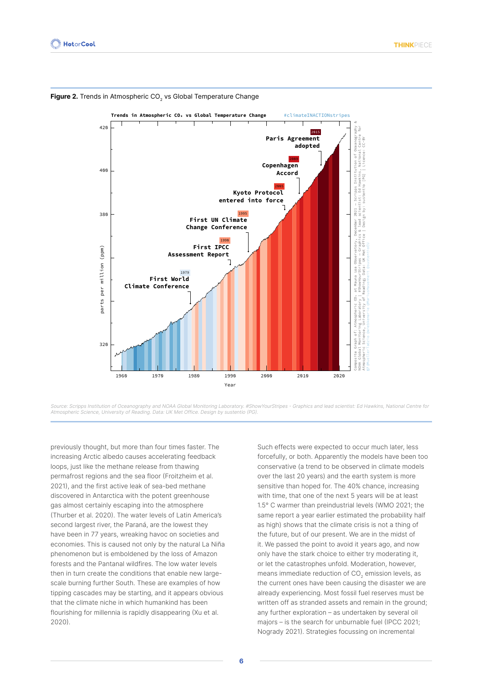

Figure 2. Trends in Atmospheric CO<sub>2</sub> vs Global Temperature Change

Source: Scripps Institution of Oceanography and NOAA Global Monitoring Laboratory. #ShowYourStripes - Graphics and lead scientist: Ed Hawkins, National Centre for Atmospheric Science, University of Reading. Data: UK Met Office. Design by sustentio (PG).

previously thought, but more than four times faster. The increasing Arctic albedo causes accelerating feedback loops, just like the methane release from thawing permafrost regions and the sea floor (Froitzheim et al. 2021), and the first active leak of sea-bed methane discovered in Antarctica with the potent greenhouse gas almost certainly escaping into the atmosphere (Thurber et al. 2020). The water levels of Latin America's second largest river, the Paraná, are the lowest they have been in 77 years, wreaking havoc on societies and economies. This is caused not only by the natural La Niña phenomenon but is emboldened by the loss of Amazon forests and the Pantanal wildfires. The low water levels then in turn create the conditions that enable new largescale burning further South. These are examples of how tipping cascades may be starting, and it appears obvious that the climate niche in which humankind has been flourishing for millennia is rapidly disappearing (Xu et al. 2020).

Such effects were expected to occur much later, less forcefully, or both. Apparently the models have been too conservative (a trend to be observed in climate models over the last 20 years) and the earth system is more sensitive than hoped for. The 40% chance, increasing with time, that one of the next 5 years will be at least 1.5° C warmer than preindustrial levels (WMO 2021; the same report a year earlier estimated the probability half as high) shows that the climate crisis is not a thing of the future, but of our present. We are in the midst of it. We passed the point to avoid it years ago, and now only have the stark choice to either try moderating it, or let the catastrophes unfold. Moderation, however, means immediate reduction of CO<sub>2</sub> emission levels, as the current ones have been causing the disaster we are already experiencing. Most fossil fuel reserves must be written off as stranded assets and remain in the ground; any further exploration – as undertaken by several oil majors – is the search for unburnable fuel (IPCC 2021; Nogrady 2021). Strategies focussing on incremental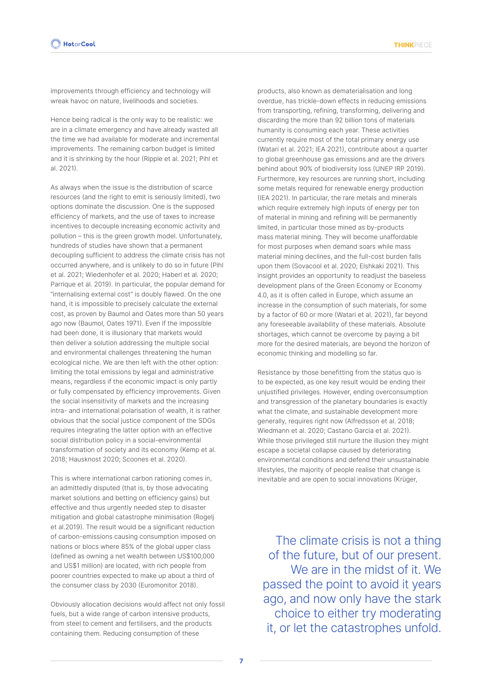improvements through efficiency and technology will wreak havoc on nature, livelihoods and societies.

Hence being radical is the only way to be realistic: we are in a climate emergency and have already wasted all the time we had available for moderate and incremental improvements. The remaining carbon budget is limited and it is shrinking by the hour (Ripple et al. 2021; Pihl et al. 2021).

As always when the issue is the distribution of scarce resources (and the right to emit is seriously limited), two options dominate the discussion. One is the supposed efficiency of markets, and the use of taxes to increase incentives to decouple increasing economic activity and pollution – this is the green growth model. Unfortunately, hundreds of studies have shown that a permanent decoupling sufficient to address the climate crisis has not occurred anywhere, and is unlikely to do so in future (Pihl et al. 2021; Wiedenhofer et al. 2020; Haberl et al. 2020; Parrique et al. 2019). In particular, the popular demand for "internalising external cost" is doubly flawed. On the one hand, it is impossible to precisely calculate the external cost, as proven by Baumol and Oates more than 50 years ago now (Baumol, Oates 1971). Even if the impossible had been done, it is illusionary that markets would then deliver a solution addressing the multiple social and environmental challenges threatening the human ecological niche. We are then left with the other option: limiting the total emissions by legal and administrative means, regardless if the economic impact is only partly or fully compensated by efficiency improvements. Given the social insensitivity of markets and the increasing intra- and international polarisation of wealth, it is rather obvious that the social justice component of the SDGs requires integrating the latter option with an effective social distribution policy in a social-environmental transformation of society and its economy (Kemp et al. 2018; Hausknost 2020; Scoones et al. 2020).

This is where international carbon rationing comes in, an admittedly disputed (that is, by those advocating market solutions and betting on efficiency gains) but effective and thus urgently needed step to disaster mitigation and global catastrophe minimisation (Rogelj et al.2019). The result would be a significant reduction of carbon-emissions causing consumption imposed on nations or blocs where 85% of the global upper class (defined as owning a net wealth between US\$100,000 and US\$1 million) are located, with rich people from poorer countries expected to make up about a third of the consumer class by 2030 (Euromonitor 2018).

Obviously allocation decisions would affect not only fossil fuels, but a wide range of carbon intensive products, from steel to cement and fertilisers, and the products containing them. Reducing consumption of these

products, also known as dematerialisation and long overdue, has trickle-down effects in reducing emissions from transporting, refining, transforming, delivering and discarding the more than 92 billion tons of materials humanity is consuming each year. These activities currently require most of the total primary energy use (Watari et al. 2021; IEA 2021), contribute about a quarter to global greenhouse gas emissions and are the drivers behind about 90% of biodiversity loss (UNEP IRP 2019). Furthermore, key resources are running short, including some metals required for renewable energy production (IEA 2021). In particular, the rare metals and minerals which require extremely high inputs of energy per ton of material in mining and refining will be permanently limited, in particular those mined as by-products mass material mining. They will become unaffordable for most purposes when demand soars while mass material mining declines, and the full-cost burden falls upon them (Sovacool et al. 2020; Elshkaki 2021). This insight provides an opportunity to readjust the baseless development plans of the Green Economy or Economy 4.0, as it is often called in Europe, which assume an increase in the consumption of such materials, for some by a factor of 60 or more (Watari et al. 2021), far beyond any foreseeable availability of these materials. Absolute shortages, which cannot be overcome by paying a bit more for the desired materials, are beyond the horizon of economic thinking and modelling so far.

Resistance by those benefitting from the status quo is to be expected, as one key result would be ending their unjustified privileges. However, ending overconsumption and transgression of the planetary boundaries is exactly what the climate, and sustainable development more generally, requires right now (Alfredsson et al. 2018; Wiedmann et al. 2020; Castano Garcia et al. 2021). While those privileged still nurture the illusion they might escape a societal collapse caused by deteriorating environmental conditions and defend their unsustainable lifestyles, the majority of people realise that change is inevitable and are open to social innovations (Krüger,

The climate crisis is not a thing of the future, but of our present. We are in the midst of it. We passed the point to avoid it years ago, and now only have the stark choice to either try moderating it, or let the catastrophes unfold.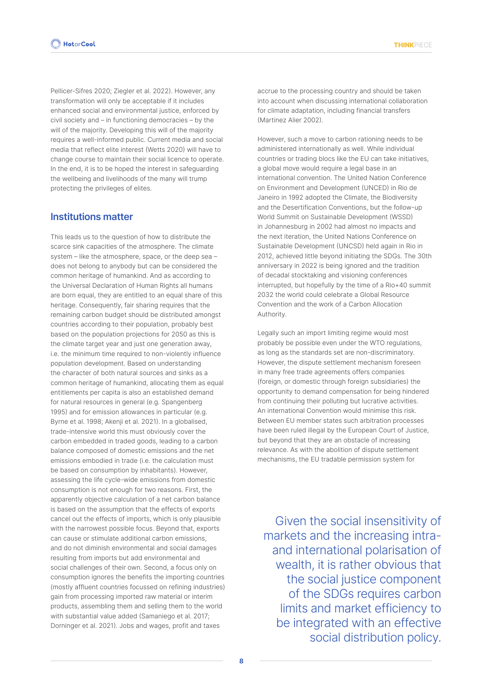Pellicer-Sifres 2020; Ziegler et al. 2022). However, any transformation will only be acceptable if it includes enhanced social and environmental justice, enforced by civil society and – in functioning democracies – by the will of the majority. Developing this will of the majority requires a well-informed public. Current media and social media that reflect elite interest (Wetts 2020) will have to change course to maintain their social licence to operate. In the end, it is to be hoped the interest in safeguarding the wellbeing and livelihoods of the many will trump protecting the privileges of elites.

#### **Institutions matter**

This leads us to the question of how to distribute the scarce sink capacities of the atmosphere. The climate system – like the atmosphere, space, or the deep sea – does not belong to anybody but can be considered the common heritage of humankind. And as according to the Universal Declaration of Human Rights all humans are born equal, they are entitled to an equal share of this heritage. Consequently, fair sharing requires that the remaining carbon budget should be distributed amongst countries according to their population, probably best based on the population projections for 2050 as this is the climate target year and just one generation away, i.e. the minimum time required to non-violently influence population development. Based on understanding the character of both natural sources and sinks as a common heritage of humankind, allocating them as equal entitlements per capita is also an established demand for natural resources in general (e.g. Spangenberg 1995) and for emission allowances in particular (e.g. Byrne et al. 1998; Akenji et al. 2021). In a globalised, trade-intensive world this must obviously cover the carbon embedded in traded goods, leading to a carbon balance composed of domestic emissions and the net emissions embodied in trade (i.e. the calculation must be based on consumption by inhabitants). However, assessing the life cycle-wide emissions from domestic consumption is not enough for two reasons. First, the apparently objective calculation of a net carbon balance is based on the assumption that the effects of exports cancel out the effects of imports, which is only plausible with the narrowest possible focus. Beyond that, exports can cause or stimulate additional carbon emissions, and do not diminish environmental and social damages resulting from imports but add environmental and social challenges of their own. Second, a focus only on consumption ignores the benefits the importing countries (mostly affluent countries focussed on refining industries) gain from processing imported raw material or interim products, assembling them and selling them to the world with substantial value added (Samaniego et al. 2017; Dorninger et al. 2021). Jobs and wages, profit and taxes

accrue to the processing country and should be taken into account when discussing international collaboration for climate adaptation, including financial transfers (Martinez Alier 2002).

However, such a move to carbon rationing needs to be administered internationally as well. While individual countries or trading blocs like the EU can take initiatives, a global move would require a legal base in an international convention. The United Nation Conference on Environment and Development (UNCED) in Rio de Janeiro in 1992 adopted the Climate, the Biodiversity and the Desertification Conventions, but the follow-up World Summit on Sustainable Development (WSSD) in Johannesburg in 2002 had almost no impacts and the next iteration, the United Nations Conference on Sustainable Development (UNCSD) held again in Rio in 2012, achieved little beyond initiating the SDGs. The 30th anniversary in 2022 is being ignored and the tradition of decadal stocktaking and visioning conferences interrupted, but hopefully by the time of a Rio+40 summit 2032 the world could celebrate a Global Resource Convention and the work of a Carbon Allocation Authority.

Legally such an import limiting regime would most probably be possible even under the WTO regulations, as long as the standards set are non-discriminatory. However, the dispute settlement mechanism foreseen in many free trade agreements offers companies (foreign, or domestic through foreign subsidiaries) the opportunity to demand compensation for being hindered from continuing their polluting but lucrative activities. An international Convention would minimise this risk. Between EU member states such arbitration processes have been ruled illegal by the European Court of Justice, but beyond that they are an obstacle of increasing relevance. As with the abolition of dispute settlement mechanisms, the EU tradable permission system for

Given the social insensitivity of markets and the increasing intraand international polarisation of wealth, it is rather obvious that the social justice component of the SDGs requires carbon limits and market efficiency to be integrated with an effective social distribution policy.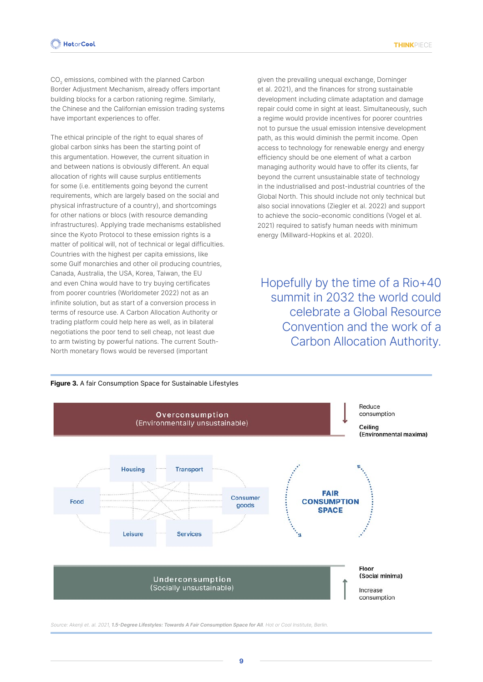CO<sub>2</sub> emissions, combined with the planned Carbon Border Adjustment Mechanism, already offers important building blocks for a carbon rationing regime. Similarly, the Chinese and the Californian emission trading systems have important experiences to offer.

The ethical principle of the right to equal shares of global carbon sinks has been the starting point of this argumentation. However, the current situation in and between nations is obviously different. An equal allocation of rights will cause surplus entitlements for some (i.e. entitlements going beyond the current requirements, which are largely based on the social and physical infrastructure of a country), and shortcomings for other nations or blocs (with resource demanding infrastructures). Applying trade mechanisms established since the Kyoto Protocol to these emission rights is a matter of political will, not of technical or legal difficulties. Countries with the highest per capita emissions, like some Gulf monarchies and other oil producing countries, Canada, Australia, the USA, Korea, Taiwan, the EU and even China would have to try buying certificates from poorer countries (Worldometer 2022) not as an infinite solution, but as start of a conversion process in terms of resource use. A Carbon Allocation Authority or trading platform could help here as well, as in bilateral negotiations the poor tend to sell cheap, not least due to arm twisting by powerful nations. The current South-North monetary flows would be reversed (important

given the prevailing unequal exchange, Dorninger et al. 2021), and the finances for strong sustainable development including climate adaptation and damage repair could come in sight at least. Simultaneously, such a regime would provide incentives for poorer countries not to pursue the usual emission intensive development path, as this would diminish the permit income. Open access to technology for renewable energy and energy efficiency should be one element of what a carbon managing authority would have to offer its clients, far beyond the current unsustainable state of technology in the industrialised and post-industrial countries of the Global North. This should include not only technical but also social innovations (Ziegler et al. 2022) and support to achieve the socio-economic conditions (Vogel et al. 2021) required to satisfy human needs with minimum energy (Millward-Hopkins et al. 2020).

Hopefully by the time of a Rio+40 summit in 2032 the world could celebrate a Global Resource Convention and the work of a Carbon Allocation Authority.



Source: Akenji et. al. 2021, **1.5-Degree Lifestyles: Towards A Fair Consumption Space for All**. Hot or Cool Institute, Berlin.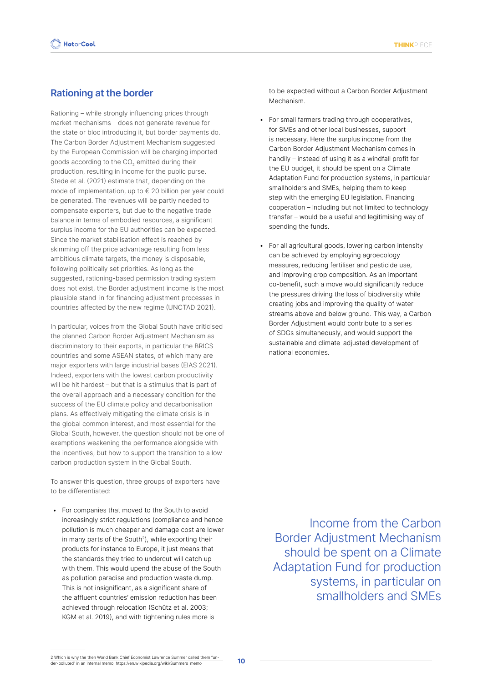#### **Rationing at the border**

Rationing – while strongly influencing prices through market mechanisms – does not generate revenue for the state or bloc introducing it, but border payments do. The Carbon Border Adjustment Mechanism suggested by the European Commission will be charging imported goods according to the CO<sub>2</sub> emitted during their production, resulting in income for the public purse. Stede et al. (2021) estimate that, depending on the mode of implementation, up to € 20 billion per year could be generated. The revenues will be partly needed to compensate exporters, but due to the negative trade balance in terms of embodied resources, a significant surplus income for the EU authorities can be expected. Since the market stabilisation effect is reached by skimming off the price advantage resulting from less ambitious climate targets, the money is disposable, following politically set priorities. As long as the suggested, rationing-based permission trading system does not exist, the Border adjustment income is the most plausible stand-in for financing adjustment processes in countries affected by the new regime (UNCTAD 2021).

In particular, voices from the Global South have criticised the planned Carbon Border Adjustment Mechanism as discriminatory to their exports, in particular the BRICS countries and some ASEAN states, of which many are major exporters with large industrial bases (EIAS 2021). Indeed, exporters with the lowest carbon productivity will be hit hardest – but that is a stimulus that is part of the overall approach and a necessary condition for the success of the EU climate policy and decarbonisation plans. As effectively mitigating the climate crisis is in the global common interest, and most essential for the Global South, however, the question should not be one of exemptions weakening the performance alongside with the incentives, but how to support the transition to a low carbon production system in the Global South.

To answer this question, three groups of exporters have to be differentiated:

• For companies that moved to the South to avoid increasingly strict regulations (compliance and hence pollution is much cheaper and damage cost are lower in many parts of the South<sup>2</sup>), while exporting their products for instance to Europe, it just means that the standards they tried to undercut will catch up with them. This would upend the abuse of the South as pollution paradise and production waste dump. This is not insignificant, as a significant share of the affluent countries' emission reduction has been achieved through relocation (Schütz et al. 2003; KGM et al. 2019), and with tightening rules more is

to be expected without a Carbon Border Adjustment Mechanism.

- For small farmers trading through cooperatives, for SMEs and other local businesses, support is necessary. Here the surplus income from the Carbon Border Adjustment Mechanism comes in handily – instead of using it as a windfall profit for the EU budget, it should be spent on a Climate Adaptation Fund for production systems, in particular smallholders and SMEs, helping them to keep step with the emerging EU legislation. Financing cooperation – including but not limited to technology transfer – would be a useful and legitimising way of spending the funds.
- For all agricultural goods, lowering carbon intensity can be achieved by employing agroecology measures, reducing fertiliser and pesticide use, and improving crop composition. As an important co-benefit, such a move would significantly reduce the pressures driving the loss of biodiversity while creating jobs and improving the quality of water streams above and below ground. This way, a Carbon Border Adjustment would contribute to a series of SDGs simultaneously, and would support the sustainable and climate-adjusted development of national economies.

Income from the Carbon Border Adjustment Mechanism should be spent on a Climate Adaptation Fund for production systems, in particular on smallholders and SMEs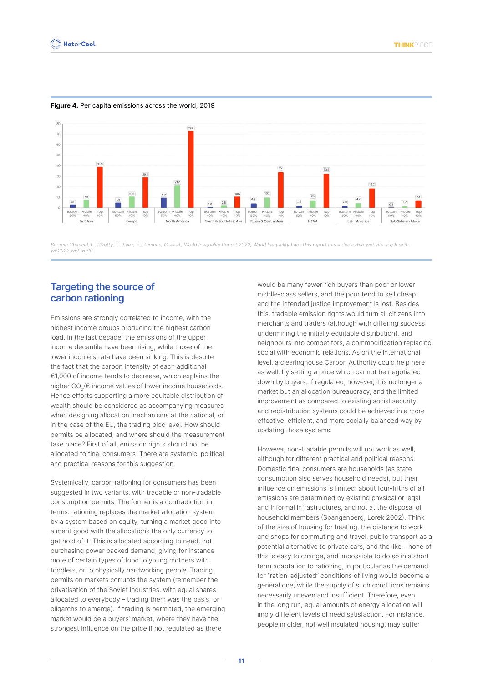

#### **Figure 4.** Per capita emissions across the world, 2019

Source: Chancel, L., Piketty, T., Saez, E., Zucman, G. et al., World Inequality Report 2022, World Inequality Lab. This report has a dedicated website. Explore it: wir2022.wid.world

#### **Targeting the source of carbon rationing**

Emissions are strongly correlated to income, with the highest income groups producing the highest carbon load. In the last decade, the emissions of the upper income decentile have been rising, while those of the lower income strata have been sinking. This is despite the fact that the carbon intensity of each additional €1,000 of income tends to decrease, which explains the higher CO<sub>2</sub>/€ income values of lower income households. Hence efforts supporting a more equitable distribution of wealth should be considered as accompanying measures when designing allocation mechanisms at the national, or in the case of the EU, the trading bloc level. How should permits be allocated, and where should the measurement take place? First of all, emission rights should not be allocated to final consumers. There are systemic, political and practical reasons for this suggestion.

Systemically, carbon rationing for consumers has been suggested in two variants, with tradable or non-tradable consumption permits. The former is a contradiction in terms: rationing replaces the market allocation system by a system based on equity, turning a market good into a merit good with the allocations the only currency to get hold of it. This is allocated according to need, not purchasing power backed demand, giving for instance more of certain types of food to young mothers with toddlers, or to physically hardworking people. Trading permits on markets corrupts the system (remember the privatisation of the Soviet industries, with equal shares allocated to everybody – trading them was the basis for oligarchs to emerge). If trading is permitted, the emerging market would be a buyers' market, where they have the strongest influence on the price if not regulated as there

would be many fewer rich buyers than poor or lower middle-class sellers, and the poor tend to sell cheap and the intended justice improvement is lost. Besides this, tradable emission rights would turn all citizens into merchants and traders (although with differing success undermining the initially equitable distribution), and neighbours into competitors, a commodification replacing social with economic relations. As on the international level, a clearinghouse Carbon Authority could help here as well, by setting a price which cannot be negotiated down by buyers. If regulated, however, it is no longer a market but an allocation bureaucracy, and the limited improvement as compared to existing social security and redistribution systems could be achieved in a more effective, efficient, and more socially balanced way by updating those systems.

However, non-tradable permits will not work as well, although for different practical and political reasons. Domestic final consumers are households (as state consumption also serves household needs), but their influence on emissions is limited: about four-fifths of all emissions are determined by existing physical or legal and informal infrastructures, and not at the disposal of household members (Spangenberg, Lorek 2002). Think of the size of housing for heating, the distance to work and shops for commuting and travel, public transport as a potential alternative to private cars, and the like – none of this is easy to change, and impossible to do so in a short term adaptation to rationing, in particular as the demand for "ration-adjusted" conditions of living would become a general one, while the supply of such conditions remains necessarily uneven and insufficient. Therefore, even in the long run, equal amounts of energy allocation will imply different levels of need satisfaction. For instance, people in older, not well insulated housing, may suffer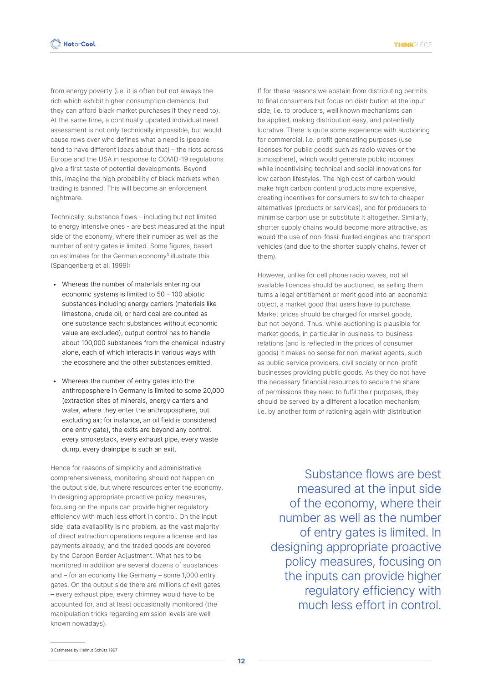from energy poverty (i.e. it is often but not always the rich which exhibit higher consumption demands, but they can afford black market purchases if they need to). At the same time, a continually updated individual need assessment is not only technically impossible, but would cause rows over who defines what a need is (people tend to have different ideas about that) – the riots across Europe and the USA in response to COVID-19 regulations give a first taste of potential developments. Beyond this, imagine the high probability of black markets when trading is banned. This will become an enforcement nightmare.

Technically, substance flows – including but not limited to energy intensive ones - are best measured at the input side of the economy, where their number as well as the number of entry gates is limited. Some figures, based on estimates for the German economy<sup>3</sup> illustrate this (Spangenberg et al. 1999):

- Whereas the number of materials entering our economic systems is limited to 50 – 100 abiotic substances including energy carriers (materials like limestone, crude oil, or hard coal are counted as one substance each; substances without economic value are excluded), output control has to handle about 100,000 substances from the chemical industry alone, each of which interacts in various ways with the ecosphere and the other substances emitted.
- Whereas the number of entry gates into the anthroposphere in Germany is limited to some 20,000 (extraction sites of minerals, energy carriers and water, where they enter the anthroposphere, but excluding air; for instance, an oil field is considered one entry gate), the exits are beyond any control: every smokestack, every exhaust pipe, every waste dump, every drainpipe is such an exit.

Hence for reasons of simplicity and administrative comprehensiveness, monitoring should not happen on the output side, but where resources enter the economy. In designing appropriate proactive policy measures, focusing on the inputs can provide higher regulatory efficiency with much less effort in control. On the input side, data availability is no problem, as the vast majority of direct extraction operations require a license and tax payments already, and the traded goods are covered by the Carbon Border Adjustment. What has to be monitored in addition are several dozens of substances and – for an economy like Germany – some 1,000 entry gates. On the output side there are millions of exit gates – every exhaust pipe, every chimney would have to be accounted for, and at least occasionally monitored (the manipulation tricks regarding emission levels are well known nowadays).

If for these reasons we abstain from distributing permits to final consumers but focus on distribution at the input side, i.e. to producers, well known mechanisms can be applied, making distribution easy, and potentially lucrative. There is quite some experience with auctioning for commercial, i.e. profit generating purposes (use licenses for public goods such as radio waves or the atmosphere), which would generate public incomes while incentivising technical and social innovations for low carbon lifestyles. The high cost of carbon would make high carbon content products more expensive, creating incentives for consumers to switch to cheaper alternatives (products or services), and for producers to minimise carbon use or substitute it altogether. Similarly, shorter supply chains would become more attractive, as would the use of non-fossil fuelled engines and transport vehicles (and due to the shorter supply chains, fewer of them).

However, unlike for cell phone radio waves, not all available licences should be auctioned, as selling them turns a legal entitlement or merit good into an economic object, a market good that users have to purchase. Market prices should be charged for market goods, but not beyond. Thus, while auctioning is plausible for market goods, in particular in business-to-business relations (and is reflected in the prices of consumer goods) it makes no sense for non-market agents, such as public service providers, civil society or non-profit businesses providing public goods. As they do not have the necessary financial resources to secure the share of permissions they need to fulfil their purposes, they should be served by a different allocation mechanism, i.e. by another form of rationing again with distribution

Substance flows are best measured at the input side of the economy, where their number as well as the number of entry gates is limited. In designing appropriate proactive policy measures, focusing on the inputs can provide higher regulatory efficiency with much less effort in control.

3 Estimates by Helmut Schütz 1997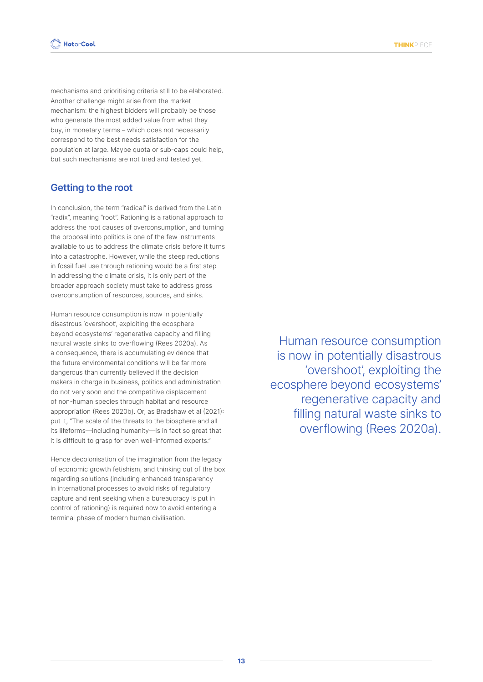mechanisms and prioritising criteria still to be elaborated. Another challenge might arise from the market mechanism: the highest bidders will probably be those who generate the most added value from what they buy, in monetary terms – which does not necessarily correspond to the best needs satisfaction for the population at large. Maybe quota or sub-caps could help, but such mechanisms are not tried and tested yet.

#### **Getting to the root**

In conclusion, the term "radical" is derived from the Latin "radix", meaning "root". Rationing is a rational approach to address the root causes of overconsumption, and turning the proposal into politics is one of the few instruments available to us to address the climate crisis before it turns into a catastrophe. However, while the steep reductions in fossil fuel use through rationing would be a first step in addressing the climate crisis, it is only part of the broader approach society must take to address gross overconsumption of resources, sources, and sinks.

Human resource consumption is now in potentially disastrous 'overshoot', exploiting the ecosphere beyond ecosystems' regenerative capacity and filling natural waste sinks to overflowing (Rees 2020a). As a consequence, there is accumulating evidence that the future environmental conditions will be far more dangerous than currently believed if the decision makers in charge in business, politics and administration do not very soon end the competitive displacement of non-human species through habitat and resource appropriation (Rees 2020b). Or, as Bradshaw et al (2021): put it, "The scale of the threats to the biosphere and all its lifeforms—including humanity—is in fact so great that it is difficult to grasp for even well-informed experts."

Hence decolonisation of the imagination from the legacy of economic growth fetishism, and thinking out of the box regarding solutions (including enhanced transparency in international processes to avoid risks of regulatory capture and rent seeking when a bureaucracy is put in control of rationing) is required now to avoid entering a terminal phase of modern human civilisation.

Human resource consumption is now in potentially disastrous 'overshoot', exploiting the ecosphere beyond ecosystems' regenerative capacity and filling natural waste sinks to overflowing (Rees 2020a).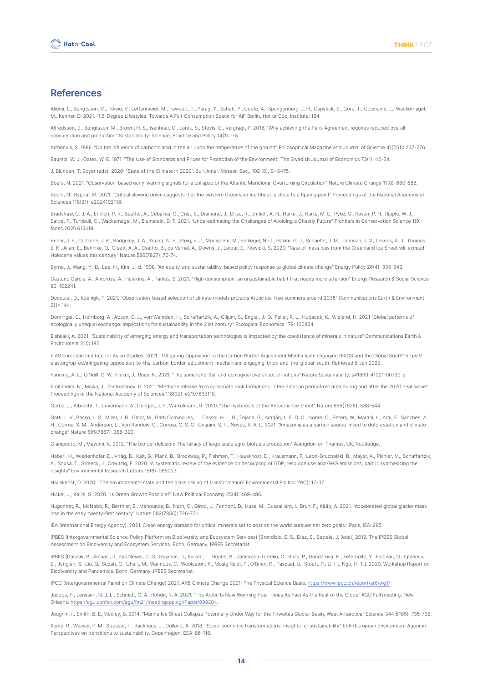#### **References**

Akenji, L., Bengtsson, M., Toivio, V., Lettenmeier, M., Fawcett, T., Parag, Y., Saheb, Y., Coote, A., Spangenberg, J. H., Capstick, S., Gore, T., Coscieme, L., Wackernagel, M., Kenner, D. 2021. "1.5-Degree Lifestyles: Towards A Fair Consumption Space for All" Berlin, Hot or Cool Institute: 164.

Alfredsson, E., Bengtsson, M., Brown, H. S., Isenhour, C., Lorek, S., Stevis, D., Vergragt, P. 2018. "Why achieving the Paris Agreement requires reduced overall consumption and production" Sustainability: Science, Practice and Policy 14(1): 1-5.

Arrhenius, S. 1896. "On the influence of carbonic acid in the air upon the temperature of the ground" Philosophical Magazine and Journal of Science 41(251): 237-276.

Baumol, W. J., Oates, W. E. 1971. "The Use of Standards and Prices for Protection of the Environment" The Swedish Journal of Economics 73(1): 42-54.

J. Blunden, T. Boyer (eds). 2020: "State of the Climate in 2020". Bull. Amer. Meteor. Soc., 102 (8), Si–S475.

Boers, N. 2021. "Observation-based early-warning signals for a collapse of the Atlantic Meridional Overturning Circulation" Nature Climate Change 11(8): 680-688.

Boers, N., Rypdal, M. 2021. "Critical slowing down suggests that the western Greenland Ice Sheet is close to a tipping point" Proceedings of the National Academy of Sciences 118(21): e2024192118.

Bradshaw, C. J. A., Ehrlich, P. R., Beattie, A., Ceballos, G., Crist, E., Diamond, J., Dirzo, R., Ehrlich, A. H., Harte, J., Harte, M. E., Pyke, G., Raven, P. H., Ripple, W. J., Saltré, F., Turnbull, C., Wackernagel, M., Blumstein, D. T. 2021. "Underestimating the Challenges of Avoiding a Ghastly Future" Frontiers in Conservation Science 1(9): fcosc.2020.615419.

Briner, J. P., Cuzzone, J. K., Badgeley, J. A., Young, N. E., Steig, E. J., Morlighem, M., Schlegel, N.-J., Hakim, G. J., Schaefer, J. M., Johnson, J. V., Lesnek, A. J., Thomas, E. K., Allan, E., Bennike, O., Cluett, A. A., Csatho, B., de Vernal, A., Downs, J., Larour, E., Nowicki, S. 2020. "Rate of mass loss from the Greenland Ice Sheet will exceed Holocene values this century" Nature 586(7827): 70-74.

Byrne, J., Wang, Y.-D., Lee, H., Kim, J.-d. 1998. "An equity-and sustainability-based policy response to global climate change" Energy Policy 26(4): 335-343.

Castano Garcia, A., Ambrose, A., Hawkins, A., Parkes, S. 2021. "High consumption, an unsustainable habit that needs more attention" Energy Research & Social Science 80: 102241.

Docquier, D., Koenigk, T. 2021. "Observation-based selection of climate models projects Arctic ice-free summers around 2035" Communications Earth & Environment 2(1): 144.

Dorninger, C., Hornborg, A., Abson, D. J., von Wehrden, H., Schaffartzik, A., Giljum, S., Engler, J.-O., Feller, R. L., Hubacek, K., Wieland, H. 2021 "Global patterns of ecologically unequal exchange: Implications for sustainability in the 21st century" Ecological Economics 179: 106824.

Elshkaki, A. 2021. "Sustainability of emerging energy and transportation technologies is impacted by the coexistence of minerals in nature" Communications Earth & Environment 2(1): 186.

EIAS European Institute for Asian Studies. 2021. "Mitigating Opposition to the Carbon Border Adjustment Mechanism: Engaging BRICS and the Global South" https:// eias.org/op-ed/mitigating-opposition-to-the-carbon-border-adjustment-mechanism-engaging-brics-and-the-global-south. Retrieved 8 Jan 2022.

Fanning, A. L., O'Neill, D. W., Hickel, J., Roux, N. 2021. "The social shortfall and ecological overshoot of nations" Nature Sustainability: s41893-41021-00799-z.

Froitzheim, N., Majka, J., Zastrozhnov, D. 2021. "Methane release from carbonate rock formations in the Siberian permafrost area during and after the 2020 heat wave" Proceedings of the National Academy of Sciences 118(32): e2107632118.

Garbe, J., Albrecht, T., Levermann, A., Donges, J. F., Winkelmann, R. 2020. "The hysteresis of the Antarctic Ice Sheet" Nature 585(7826): 538-544.

Gatti, L. V., Basso, L. S., Miller, J. B., Gloor, M., Gatti Domingues, L., Cassol, H. L. G., Tejada, G., Aragão, L. E. O. C., Nobre, C., Peters, W., Marani, L., Arai, E., Sanches, A. H., Corrêa, S. M., Anderson, L., Von Randow, C., Correia, C. S. C., Crispim, S. P., Neves, R. A. L. 2021. "Amazonia as a carbon source linked to deforestation and climate change" Nature 595(7867): 388-393.

Giampietro, M., Mayumi, K. 2012. "The biofuel delusion: The fallacy of large scale agro-biofuels production" Abingdon-on-Thames, UK, Routledge.

Haberl, H., Wiedenhofer, D., Virág, D., Kalt, G., Plank, B., Brockway, P., Fishman, T., Hausknost, D., Krausmann, F., Leon-Gruchalski, B., Mayer, A., Pichler, M., Schaffartzik, A., Sousa, T., Streeck, J., Creutzig, F. 2020. "A systematic review of the evidence on decoupling of GDP, resource use and GHG emissions, part II: synthesizing the insights" Environmental Research Letters 15(6): 065003.

Hausknost, D. 2020. "The environmental state and the glass ceiling of transformation" Environmental Politics 29(1): 17-37.

Hickel, J., Kallis, G. 2020. "Is Green Growth Possible?" New Political Economy 25(4): 469-486.

Hugonnet, R., McNabb, R., Berthier, E., Menounos, B., Nuth, C., Girod, L., Farinotti, D., Huss, M., Dussaillant, I., Brun, F., Kääb, A. 2021. "Accelerated global glacier mass loss in the early twenty-first century" Nature 592(7856): 726-731.

IEA (International Energy Agency). 2021. Clean energy demand for critical minerals set to soar as the world pursues net zero goals." Paris, IEA: 285.

IPBES (Intergovernmental Science-Policy Platform on Biodiversity and Ecosystem Services) [Brondizio, E. S., Díaz, S., Settele, J. (eds)] 2019. The IPBES Global Assessment on Biodiversity and Ecosystem Services. Bonn, Germany, IPBES Secretariat.

IPBES [Daszak, P., Amuasi, J., das Neves, C. G., Hayman, D., Kuiken, T., Roche, B., Zambrana-Torrelio, C., Buss, P., Dundarova, H., Feferholtz, Y., Földvári, G., Igbinosa, E., Junglen, S., Liu, Q., Suzan, G., Uhart, M., Wannous, C., Woolaston, K., Mosig Reidl, P., O'Brien, K., Pascual, U., Stoett, P., Li, H., Ngo, H. T.]. 2020. Workshop Report on Biodiversity and Pandemics. Bonn, Germany, IPBES Secretariat.

IPCC (Intergovernmental Panel on Climate Change) 2021. AR6 Climate Change 2021: The Physical Science Basis.<https://www.ipcc.ch/report/ar6/wg1/>

Jacobs, P., Lenssen, N. J. L., Schmidt, G. A., Rohde, R. A. 2021. "The Arctic Is Now Warming Four Times As Fast As the Rest of the Globe" AGU Fall meeting. New Orleans: <https://agu.confex.com/agu/fm21/meetingapp.cgi/Paper/898204>.

Joughin, I., Smith, B. E.,Medley, B. 2014. "Marine Ice Sheet Collapse Potentially Under Way for the Thwaites Glacier Basin, West Antarctica" Science 344(6185): 735-738.

Kemp, R., Weaver, P. M., Strasser, T., Backhaus, J., Golland, A. 2018. "Socio-economic transformations: insights for sustainability" EEA (European Environment Agency). Perspectives on transitions to sustainability. Copenhagen, EEA: 86-116.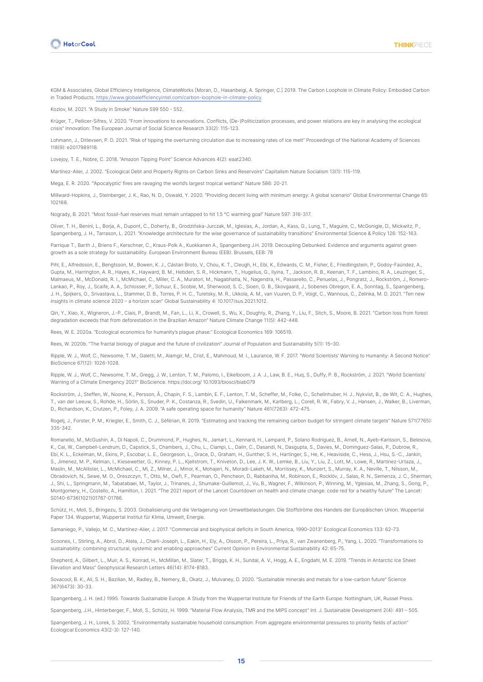

KGM & Associates, Global Efficiency Intelligence, ClimateWorks [Moran, D., Hasanbeigi, A. Springer, C.] 2019. The Carbon Loophole in Climate Policy: Embodied Carbon in Traded Products. <https://www.globalefficiencyintel.com/carbon-loophole-in-climate-policy>.

Kozlov, M. 2021. "A Study in Smoke" Nature 599 550 - 552.

Krüger, T., Pellicer-Sifres, V. 2020. "From innovations to exnovations. Conflicts, (De-)Politicization processes, and power relations are key in analysing the ecological crisis" Innovation: The European Journal of Social Science Research 33(2): 115-123.

Lohmann, J., Ditlevsen, P. D. 2021. "Risk of tipping the overturning circulation due to increasing rates of ice melt" Proceedings of the National Academy of Sciences 118(9): e2017989118.

Lovejoy, T. E., Nobre, C. 2018. "Amazon Tipping Point" Science Advances 4(2): eaat2340.

Martínez-Alier, J. 2002. "Ecological Debt and Property Rights on Carbon Sinks and Reservoirs" Capitalism Nature Socialism 13(1): 115-119.

Mega, E. R. 2020. "'Apocalyptic' fires are ravaging the world's largest tropical wetland" Nature 586: 20-21.

Millward-Hopkins, J., Steinberger, J. K., Rao, N. D., Oswald, Y. 2020. "Providing decent living with minimum energy: A global scenario" Global Environmental Change 65: 102168.

Nogrady, B. 2021. "Most fossil-fuel reserves must remain untapped to hit 1.5 °C warming goal" Nature 597: 316-317.

Oliver, T. H., Benini, L., Borja, A., Dupont, C., Doherty, B., Grodzińska-Jurczak, M., Iglesias, A., Jordan, A., Kass, G., Lung, T., Maguire, C., McGonigle, D., Mickwitz, P., Spangenberg, J. H., Tarrason, L. 2021. "Knowledge architecture for the wise governance of sustainability transitions" Environmental Science & Policy 126: 152-163.

Parrique T., Barth J., Briens F., Kerschner, C., Kraus-Polk A., Kuokkanen A., Spangenberg J.H. 2019. Decoupling Debunked. Evidence and arguments against green growth as a sole strategy for sustainability. European Environment Bureau (EEB). Brussels, EEB: 78

Pihl, E., Alfredsson, E., Bengtsson, M., Bowen, K. J., Cástan Broto, V., Chou, K. T., Cleugh, H., Ebi, K., Edwards, C. M., Fisher, E., Friedlingstein, P., Godoy-Faúndez, A., Gupta, M., Harrington, A. R., Hayes, K., Hayward, B. M., Hebden, S. R., Hickmann, T., Hugelius, G., Ilyina, T., Jackson, R. B., Keenan, T. F., Lambino, R. A., Leuzinger, S., Malmaeus, M., McDonald, R. I., McMichael, C., Miller, C. A., Muratori, M., Nagabhatla, N., Nagendra, H., Passarello, C., Penuelas, J., Pongratz, J., Rockström, J., Romero-Lankao, P., Roy, J., Scaife, A. A., Schlosser, P., Schuur, E., Scobie, M., Sherwood, S. C., Sioen, G. B., Skovgaard, J., Sobenes Obregon, E. A., Sonntag, S., Spangenberg, J. H., Spijkers, O., Srivastava, L., Stammer, D. B., Torres, P. H. C., Turetsky, M. R., Ukkola, A. M., van Vuuren, D. P., Voigt, C., Wannous, C., Zelinka, M. D. 2021. "Ten new insights in climate science 2020 – a horizon scan" Global Sustainability 4: 10.1017/sus.2021.1012.

Qin, Y., Xiao, X., Wigneron, J.-P., Ciais, P., Brandt, M., Fan, L., Li, X., Crowell, S., Wu, X., Doughty, R., Zhang, Y., Liu, F., Sitch, S., Moore, B. 2021. "Carbon loss from forest degradation exceeds that from deforestation in the Brazilian Amazon" Nature Climate Change 11(5): 442-448.

Rees, W. E. 2020a. "Ecological economics for humanity's plague phase." Ecological Economics 169: 106519.

Rees, W. 2020b. "The fractal biology of plague and the future of civilization" Journal of Population and Sustainability 5(1): 15–30.

Ripple, W. J., Wolf, C., Newsome, T. M., Galetti, M., Alamgir, M., Crist, E., Mahmoud, M. I., Laurance, W. F. 2017. "World Scientists' Warning to Humanity: A Second Notice" BioScience 67(12): 1026-1028.

Ripple, W. J., Wolf, C., Newsome, T. M., Gregg, J. W., Lenton, T. M., Palomo, I., Eikelboom, J. A. J., Law, B. E., Huq, S., Duffy, P. B., Rockström, J. 2021. "World Scientists' Warning of a Climate Emergency 2021" BioScience. https://doi.org/ 10.1093/biosci/biab079

Rockström, J., Steffen, W., Noone, K., Persson, Å., Chapin, F. S., Lambin, E. F., Lenton, T. M., Scheffer, M., Folke, C., Schellnhuber, H. J., Nykvist, B., de Wit, C. A., Hughes, T., van der Leeuw, S., Rohde, H., Sörlin, S., Snuder, P. K., Costanza, R., Svedin, U., Falkenmark, M., Karlberg, L., Corell, R. W., Fabry, V. J., Hansen, J., Walker, B., Liverman, D., Richardson, K., Crutzen, P., Foley, J. A. 2009. "A safe operating space for humanity" Nature 461(7263): 472-475.

Rogelj, J., Forster, P. M., Kriegler, E., Smith, C. J., Séférian, R. 2019. "Estimating and tracking the remaining carbon budget for stringent climate targets" Nature 571(7765): 335-342.

Romanello, M., McGushin, A., Di Napoli, C., Drummond, P., Hughes, N., Jamart, L., Kennard, H., Lampard, P., Solano Rodriguez, B., Arnell, N., Ayeb-Karlsson, S., Belesova, K., Cai, W., Campbell-Lendrum, D., Capstick, S., Chambers, J., Chu, L., Ciampi, L., Dalin, C., Dasandi, N., Dasgupta, S., Davies, M., Dominguez-Salas, P., Dubrow, R., Ebi, K. L., Eckelman, M., Ekins, P., Escobar, L. E., Georgeson, L., Grace, D., Graham, H., Gunther, S. H., Hartinger, S., He, K., Heaviside, C., Hess, J., Hsu, S.-C., Jankin, S., Jimenez, M. P., Kelman, I., Kiesewetter, G., Kinney, P. L., Kjellstrom, T., Kniveton, D., Lee, J. K. W., Lemke, B., Liu, Y., Liu, Z., Lott, M., Lowe, R., Martinez-Urtaza, J., Maslin, M., McAllister, L., McMichael, C., Mi. Z., Milner, J., Minor, K., Mohajeri, N., Moradi-Lakeh, M., Morrissey, K., Munzert, S., Murray, K. A., Neville, T., Nilsson, M. Obradovich, N., Sewe, M. O., Oreszczyn, T., Otto, M., Owfi, F., Pearman, O., Pencheon, D., Rabbaniha, M., Robinson, E., Rocklöv, J., Salas, R. N., Semenza, J. C., Sherman, J., Shi, L., Springmann, M., Tabatabaei, M., Taylor, J., Trinanes, J., Shumake-Guillemot, J., Vu, B., Wagner, F., Wilkinson, P., Winning, M., Yglesias, M., Zhang, S., Gong, P., Montgomery, H., Costello, A., Hamilton, I. 2021. "The 2021 report of the Lancet Countdown on health and climate change: code red for a healthy future" The Lancet: S0140-6736(1021)01787-01786.

Schütz, H., Moll, S., Bringezu, S. 2003. Globalisierung und die Verlagerung von Umweltbelastungen. Die Stoffströme des Handels der Europäischen Union. Wuppertal Paper 134. Wuppertal, Wuppertal Institut für Klima, Umwelt, Energie.

Samaniego, P., Vallejo, M. C., Martínez-Alier, J. 2017. "Commercial and biophysical deficits in South America, 1990–2013" Ecological Economics 133: 62-73.

Scoones, I., Stirling, A., Abrol, D., Atela, J., Charli-Joseph, L., Eakin, H., Ely, A., Olsson, P., Pereira, L., Priya, R., van Zwanenberg, P., Yang, L. 2020. "Transformations to sustainability: combining structural, systemic and enabling approaches" Current Opinion in Environmental Sustainability 42: 65-75.

Shepherd, A., Gilbert, L., Muir, A. S., Konrad, H., McMillan, M., Slater, T., Briggs, K. H., Sundal, A. V., Hogg, A. E., Engdahl, M. E. 2019. "Trends in Antarctic Ice Sheet Elevation and Mass" Geophysical Research Letters 46(14): 8174-8183.

Sovacool, B. K., Ali, S. H., Bazilian, M., Radley, B., Nemery, B., Okatz, J., Mulvaney, D. 2020. "Sustainable minerals and metals for a low-carbon future" Science 367(6473): 30-33.

Spangenberg, J. H. (ed.) 1995. Towards Sustainable Europe. A Study from the Wuppertal Institute for Friends of the Earth Europe. Nottingham, UK, Russel Press.

Spangenberg, J.H., Hinterberger, F., Moll, S., Schütz, H. 1999. "Material Flow Analysis, TMR and the MIPS concept" Int. J. Sustainable Development 2(4): 491 – 505.

Spangenberg, J. H., Lorek, S. 2002. "Environmentally sustainable household consumption: From aggregate environmental pressures to priority fields of action" Ecological Economics 43(2-3): 127-140.